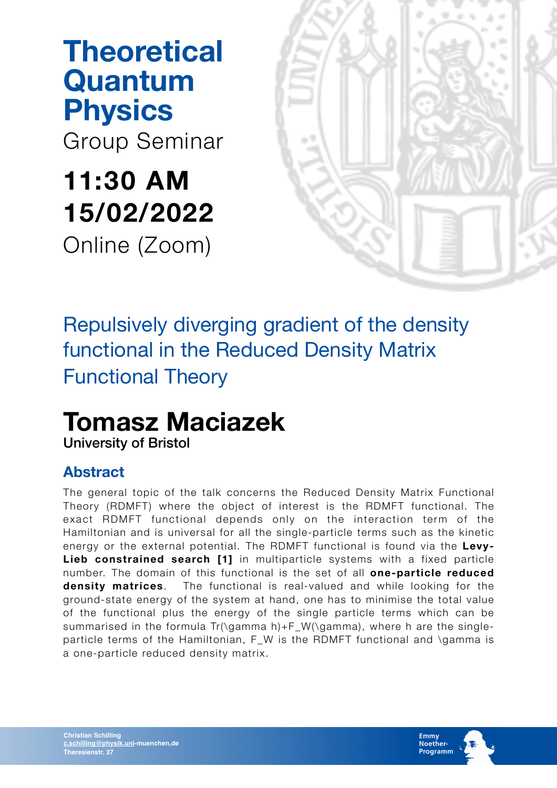# **Theoretical Quantum Physics**

Group Seminar

# **11:30 AM 15/02/2022**  Online (Zoom)



### Repulsively diverging gradient of the density functional in the Reduced Density Matrix Functional Theory

# **Tomasz Maciazek**

University of Bristol

#### **Abstract**

The general topic of the talk concerns the Reduced Density Matrix Functional Theory (RDMFT) where the object of interest is the RDMFT functional. The exact RDMFT functional depends only on the interaction term of the Hamiltonian and is universal for all the single-particle terms such as the kinetic energy or the external potential. The RDMFT functional is found via the **Levy-Lieb constrained search [1]** in multiparticle systems with a fixed particle number. The domain of this functional is the set of all **one-particle reduced density matrices**. The functional is real-valued and while looking for the ground-state energy of the system at hand, one has to minimise the total value of the functional plus the energy of the single particle terms which can be summarised in the formula Tr(\gamma h)+F\_W(\gamma), where h are the singleparticle terms of the Hamiltonian, F W is the RDMFT functional and \gamma is a one-particle reduced density matrix.